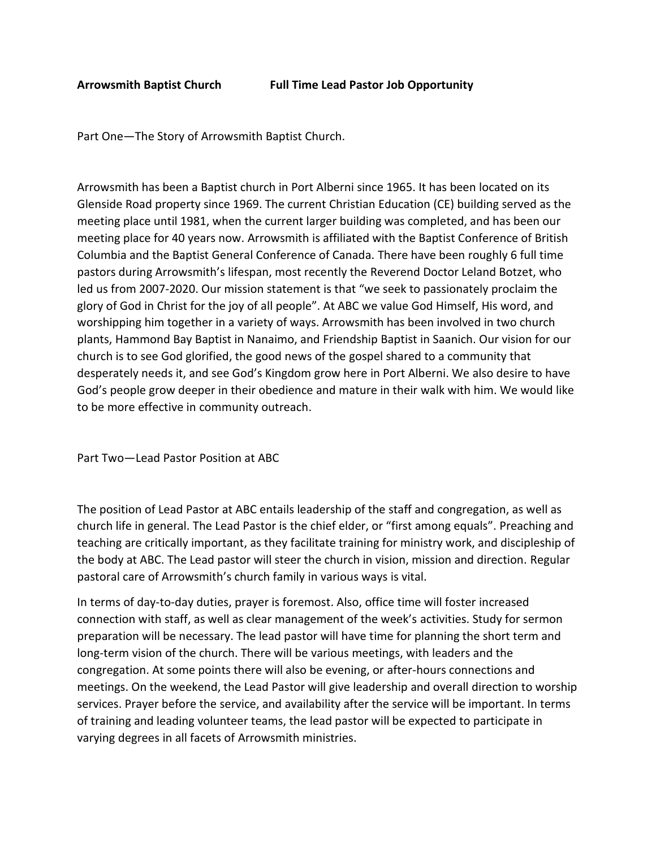Part One—The Story of Arrowsmith Baptist Church.

Arrowsmith has been a Baptist church in Port Alberni since 1965. It has been located on its Glenside Road property since 1969. The current Christian Education (CE) building served as the meeting place until 1981, when the current larger building was completed, and has been our meeting place for 40 years now. Arrowsmith is affiliated with the Baptist Conference of British Columbia and the Baptist General Conference of Canada. There have been roughly 6 full time pastors during Arrowsmith's lifespan, most recently the Reverend Doctor Leland Botzet, who led us from 2007-2020. Our mission statement is that "we seek to passionately proclaim the glory of God in Christ for the joy of all people". At ABC we value God Himself, His word, and worshipping him together in a variety of ways. Arrowsmith has been involved in two church plants, Hammond Bay Baptist in Nanaimo, and Friendship Baptist in Saanich. Our vision for our church is to see God glorified, the good news of the gospel shared to a community that desperately needs it, and see God's Kingdom grow here in Port Alberni. We also desire to have God's people grow deeper in their obedience and mature in their walk with him. We would like to be more effective in community outreach.

Part Two—Lead Pastor Position at ABC

The position of Lead Pastor at ABC entails leadership of the staff and congregation, as well as church life in general. The Lead Pastor is the chief elder, or "first among equals". Preaching and teaching are critically important, as they facilitate training for ministry work, and discipleship of the body at ABC. The Lead pastor will steer the church in vision, mission and direction. Regular pastoral care of Arrowsmith's church family in various ways is vital.

In terms of day-to-day duties, prayer is foremost. Also, office time will foster increased connection with staff, as well as clear management of the week's activities. Study for sermon preparation will be necessary. The lead pastor will have time for planning the short term and long-term vision of the church. There will be various meetings, with leaders and the congregation. At some points there will also be evening, or after-hours connections and meetings. On the weekend, the Lead Pastor will give leadership and overall direction to worship services. Prayer before the service, and availability after the service will be important. In terms of training and leading volunteer teams, the lead pastor will be expected to participate in varying degrees in all facets of Arrowsmith ministries.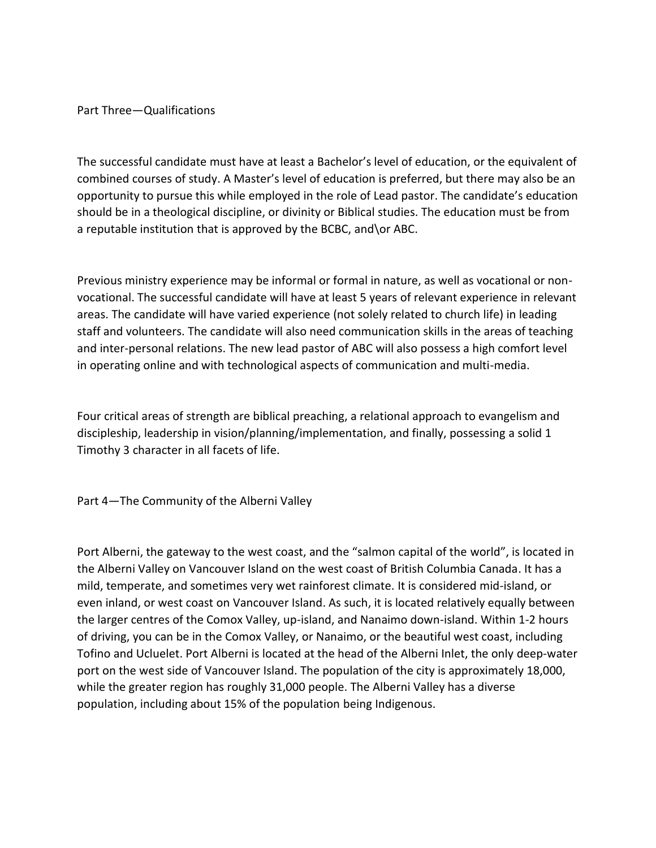Part Three—Qualifications

The successful candidate must have at least a Bachelor's level of education, or the equivalent of combined courses of study. A Master's level of education is preferred, but there may also be an opportunity to pursue this while employed in the role of Lead pastor. The candidate's education should be in a theological discipline, or divinity or Biblical studies. The education must be from a reputable institution that is approved by the BCBC, and\or ABC.

Previous ministry experience may be informal or formal in nature, as well as vocational or nonvocational. The successful candidate will have at least 5 years of relevant experience in relevant areas. The candidate will have varied experience (not solely related to church life) in leading staff and volunteers. The candidate will also need communication skills in the areas of teaching and inter-personal relations. The new lead pastor of ABC will also possess a high comfort level in operating online and with technological aspects of communication and multi-media.

Four critical areas of strength are biblical preaching, a relational approach to evangelism and discipleship, leadership in vision/planning/implementation, and finally, possessing a solid 1 Timothy 3 character in all facets of life.

Part 4—The Community of the Alberni Valley

Port Alberni, the gateway to the west coast, and the "salmon capital of the world", is located in the Alberni Valley on Vancouver Island on the west coast of British Columbia Canada. It has a mild, temperate, and sometimes very wet rainforest climate. It is considered mid-island, or even inland, or west coast on Vancouver Island. As such, it is located relatively equally between the larger centres of the Comox Valley, up-island, and Nanaimo down-island. Within 1-2 hours of driving, you can be in the Comox Valley, or Nanaimo, or the beautiful west coast, including Tofino and Ucluelet. Port Alberni is located at the head of the Alberni Inlet, the only deep-water port on the west side of Vancouver Island. The population of the city is approximately 18,000, while the greater region has roughly 31,000 people. The Alberni Valley has a diverse population, including about 15% of the population being Indigenous.